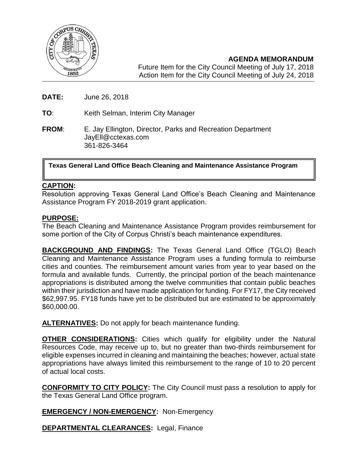

**AGENDA MEMORANDUM** Future Item for the City Council Meeting of July 17, 2018 Action Item for the City Council Meeting of July 24, 2018

**DATE:** June 26, 2018

**TO**: Keith Selman, Interim City Manager

**FROM**: E. Jay Ellington, Director, Parks and Recreation Department JayEll@cctexas.com 361-826-3464

**Texas General Land Office Beach Cleaning and Maintenance Assistance Program**

### **CAPTION:**

Resolution approving Texas General Land Office's Beach Cleaning and Maintenance Assistance Program FY 2018-2019 grant application.

### **PURPOSE:**

The Beach Cleaning and Maintenance Assistance Program provides reimbursement for some portion of the City of Corpus Christi's beach maintenance expenditures.

**BACKGROUND AND FINDINGS:** The Texas General Land Office (TGLO) Beach Cleaning and Maintenance Assistance Program uses a funding formula to reimburse cities and counties. The reimbursement amount varies from year to year based on the formula and available funds. Currently, the principal portion of the beach maintenance appropriations is distributed among the twelve communities that contain public beaches within their jurisdiction and have made application for funding. For FY17, the City received \$62,997.95. FY18 funds have yet to be distributed but are estimated to be approximately \$60,000.00.

**ALTERNATIVES:** Do not apply for beach maintenance funding.

**OTHER CONSIDERATIONS:** Cities which qualify for eligibility under the Natural Resources Code, may receive up to, but no greater than two-thirds reimbursement for eligible expenses incurred in cleaning and maintaining the beaches; however, actual state appropriations have always limited this reimbursement to the range of 10 to 20 percent of actual local costs.

**CONFORMITY TO CITY POLICY:** The City Council must pass a resolution to apply for the Texas General Land Office program.

### **EMERGENCY / NON-EMERGENCY:** Non-Emergency

**DEPARTMENTAL CLEARANCES:** Legal, Finance